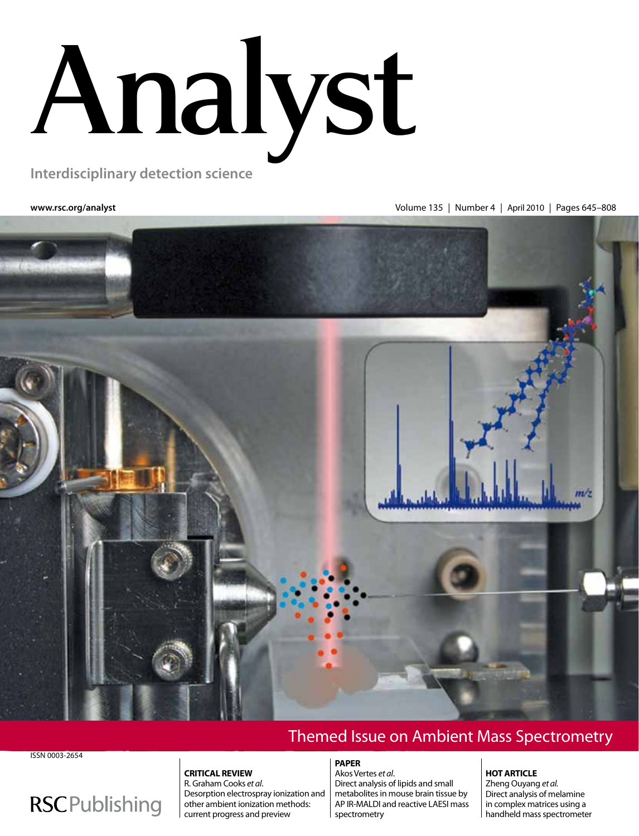# Analyst **Interdisciplinary detection science**

**www.rsc.org/analyst** Volume 135 | Number 4 | April 2010 | Pages 645–808



ISSN 0003-2654

# **RSCPublishing**

**CRITICAL REVIEW** R. Graham Cooks *et al*. Desorption electrospray ionization and other ambient ionization methods: current progress and preview

### **PAPER**

Akos Vertes *et al*. Direct analysis of lipids and small metabolites in mouse brain tissue by AP IR-MALDI and reactive LAESI mass spectrometry

Themed Issue on Ambient Mass Spectrometry

#### **HOT ARTICLE**

Zheng Ouyang *et al.* Direct analysis of melamine in complex matrices using a handheld mass spectrometer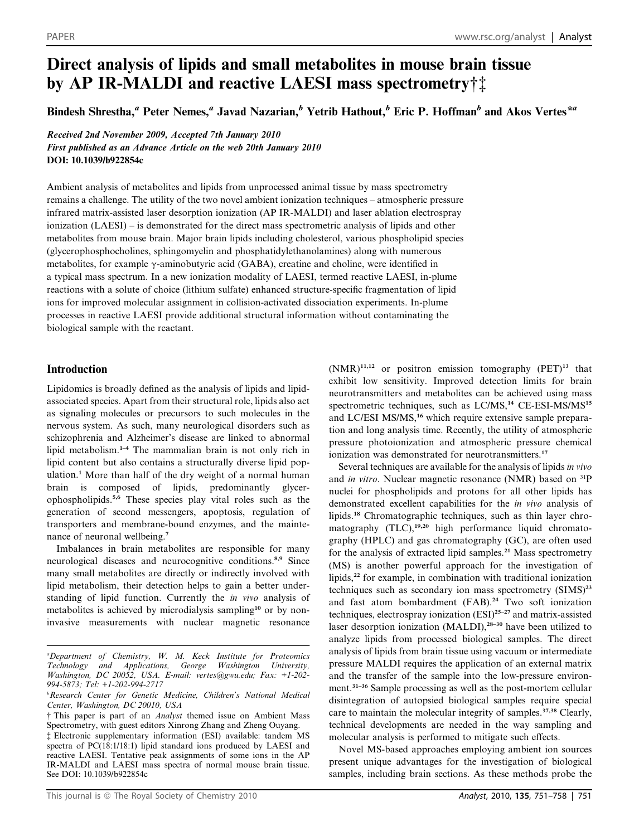## Direct analysis of lipids and small metabolites in mouse brain tissue by AP IR-MALDI and reactive LAESI mass spectrometry†‡

Bindesh Shrestha,<sup>a</sup> Peter Nemes,<sup>a</sup> Javad Nazarian,<sup>b</sup> Yetrib Hathout,<sup>b</sup> Eric P. Hoffman<sup>b</sup> and Akos Vertes<sup>\*a</sup>

Received 2nd November 2009, Accepted 7th January 2010 First published as an Advance Article on the web 20th January 2010 DOI: 10.1039/b922854c

Ambient analysis of metabolites and lipids from unprocessed animal tissue by mass spectrometry remains a challenge. The utility of the two novel ambient ionization techniques – atmospheric pressure infrared matrix-assisted laser desorption ionization (AP IR-MALDI) and laser ablation electrospray ionization (LAESI) – is demonstrated for the direct mass spectrometric analysis of lipids and other metabolites from mouse brain. Major brain lipids including cholesterol, various phospholipid species (glycerophosphocholines, sphingomyelin and phosphatidylethanolamines) along with numerous metabolites, for example  $\gamma$ -aminobutyric acid (GABA), creatine and choline, were identified in a typical mass spectrum. In a new ionization modality of LAESI, termed reactive LAESI, in-plume reactions with a solute of choice (lithium sulfate) enhanced structure-specific fragmentation of lipid ions for improved molecular assignment in collision-activated dissociation experiments. In-plume processes in reactive LAESI provide additional structural information without contaminating the biological sample with the reactant.

#### Introduction

Lipidomics is broadly defined as the analysis of lipids and lipidassociated species. Apart from their structural role, lipids also act as signaling molecules or precursors to such molecules in the nervous system. As such, many neurological disorders such as schizophrenia and Alzheimer's disease are linked to abnormal lipid metabolism.1–4 The mammalian brain is not only rich in lipid content but also contains a structurally diverse lipid population.<sup>1</sup> More than half of the dry weight of a normal human brain is composed of lipids, predominantly glycerophospholipids.5,6 These species play vital roles such as the generation of second messengers, apoptosis, regulation of transporters and membrane-bound enzymes, and the maintenance of neuronal wellbeing.<sup>7</sup>

Imbalances in brain metabolites are responsible for many neurological diseases and neurocognitive conditions.8,9 Since many small metabolites are directly or indirectly involved with lipid metabolism, their detection helps to gain a better understanding of lipid function. Currently the in vivo analysis of metabolites is achieved by microdialysis sampling<sup>10</sup> or by noninvasive measurements with nuclear magnetic resonance  $(NMR)^{11,12}$  or positron emission tomography  $(PET)^{13}$  that exhibit low sensitivity. Improved detection limits for brain neurotransmitters and metabolites can be achieved using mass spectrometric techniques, such as LC/MS,<sup>14</sup> CE-ESI-MS/MS<sup>15</sup> and LC/ESI MS/MS,<sup>16</sup> which require extensive sample preparation and long analysis time. Recently, the utility of atmospheric pressure photoionization and atmospheric pressure chemical ionization was demonstrated for neurotransmitters.<sup>17</sup>

Several techniques are available for the analysis of lipids in vivo and *in vitro*. Nuclear magnetic resonance (NMR) based on <sup>31</sup>P nuclei for phospholipids and protons for all other lipids has demonstrated excellent capabilities for the in vivo analysis of lipids.<sup>18</sup> Chromatographic techniques, such as thin layer chromatography  $(TLC)$ ,<sup>19,20</sup> high performance liquid chromatography (HPLC) and gas chromatography (GC), are often used for the analysis of extracted lipid samples.<sup>21</sup> Mass spectrometry (MS) is another powerful approach for the investigation of lipids,<sup>22</sup> for example, in combination with traditional ionization techniques such as secondary ion mass spectrometry (SIMS)<sup>23</sup> and fast atom bombardment (FAB).<sup>24</sup> Two soft ionization techniques, electrospray ionization (ESI)<sup>25-27</sup> and matrix-assisted laser desorption ionization (MALDI),<sup>28–30</sup> have been utilized to analyze lipids from processed biological samples. The direct analysis of lipids from brain tissue using vacuum or intermediate pressure MALDI requires the application of an external matrix and the transfer of the sample into the low-pressure environment.<sup>31–36</sup> Sample processing as well as the post-mortem cellular disintegration of autopsied biological samples require special care to maintain the molecular integrity of samples.<sup>37,38</sup> Clearly, technical developments are needed in the way sampling and molecular analysis is performed to mitigate such effects.

Novel MS-based approaches employing ambient ion sources present unique advantages for the investigation of biological samples, including brain sections. As these methods probe the

a Department of Chemistry, W. M. Keck Institute for Proteomics Technology and Applications, George Washington University, Washington, DC 20052, USA. E-mail: vertes@gwu.edu; Fax: +1-202- 994-5873; Tel: +1-202-994-2717

<sup>&</sup>lt;sup>b</sup>Research Center for Genetic Medicine, Children's National Medical Center, Washington, DC 20010, USA

<sup>†</sup> This paper is part of an Analyst themed issue on Ambient Mass Spectrometry, with guest editors Xinrong Zhang and Zheng Ouyang.

<sup>‡</sup> Electronic supplementary information (ESI) available: tandem MS spectra of PC(18:1/18:1) lipid standard ions produced by LAESI and reactive LAESI. Tentative peak assignments of some ions in the AP IR-MALDI and LAESI mass spectra of normal mouse brain tissue. See DOI: 10.1039/b922854c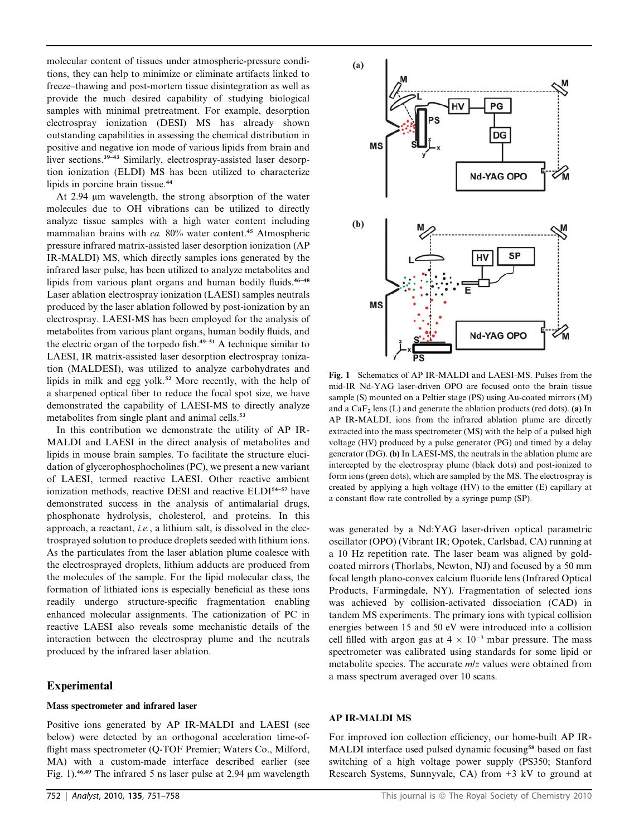molecular content of tissues under atmospheric-pressure conditions, they can help to minimize or eliminate artifacts linked to freeze–thawing and post-mortem tissue disintegration as well as provide the much desired capability of studying biological samples with minimal pretreatment. For example, desorption electrospray ionization (DESI) MS has already shown outstanding capabilities in assessing the chemical distribution in positive and negative ion mode of various lipids from brain and liver sections.<sup>39–43</sup> Similarly, electrospray-assisted laser desorption ionization (ELDI) MS has been utilized to characterize lipids in porcine brain tissue.<sup>44</sup>

At 2.94 µm wavelength, the strong absorption of the water molecules due to OH vibrations can be utilized to directly analyze tissue samples with a high water content including mammalian brains with ca. 80% water content.<sup>45</sup> Atmospheric pressure infrared matrix-assisted laser desorption ionization (AP IR-MALDI) MS, which directly samples ions generated by the infrared laser pulse, has been utilized to analyze metabolites and lipids from various plant organs and human bodily fluids.<sup>46–48</sup> Laser ablation electrospray ionization (LAESI) samples neutrals produced by the laser ablation followed by post-ionization by an electrospray. LAESI-MS has been employed for the analysis of metabolites from various plant organs, human bodily fluids, and the electric organ of the torpedo fish. $49-51$  A technique similar to LAESI, IR matrix-assisted laser desorption electrospray ionization (MALDESI), was utilized to analyze carbohydrates and lipids in milk and egg yolk.<sup>52</sup> More recently, with the help of a sharpened optical fiber to reduce the focal spot size, we have demonstrated the capability of LAESI-MS to directly analyze metabolites from single plant and animal cells.<sup>53</sup>

In this contribution we demonstrate the utility of AP IR-MALDI and LAESI in the direct analysis of metabolites and lipids in mouse brain samples. To facilitate the structure elucidation of glycerophosphocholines (PC), we present a new variant of LAESI, termed reactive LAESI. Other reactive ambient ionization methods, reactive DESI and reactive ELDI<sup>54-57</sup> have demonstrated success in the analysis of antimalarial drugs, phosphonate hydrolysis, cholesterol, and proteins. In this approach, a reactant, i.e., a lithium salt, is dissolved in the electrosprayed solution to produce droplets seeded with lithium ions. As the particulates from the laser ablation plume coalesce with the electrosprayed droplets, lithium adducts are produced from the molecules of the sample. For the lipid molecular class, the formation of lithiated ions is especially beneficial as these ions readily undergo structure-specific fragmentation enabling enhanced molecular assignments. The cationization of PC in reactive LAESI also reveals some mechanistic details of the interaction between the electrospray plume and the neutrals produced by the infrared laser ablation.

#### **Experimental**

#### Mass spectrometer and infrared laser

Positive ions generated by AP IR-MALDI and LAESI (see below) were detected by an orthogonal acceleration time-offlight mass spectrometer (Q-TOF Premier; Waters Co., Milford, MA) with a custom-made interface described earlier (see Fig. 1).<sup>46,49</sup> The infrared 5 ns laser pulse at 2.94  $\mu$ m wavelength



Fig. 1 Schematics of AP IR-MALDI and LAESI-MS. Pulses from the mid-IR Nd-YAG laser-driven OPO are focused onto the brain tissue sample (S) mounted on a Peltier stage (PS) using Au-coated mirrors (M) and a  $CaF<sub>2</sub>$  lens (L) and generate the ablation products (red dots). (a) In AP IR-MALDI, ions from the infrared ablation plume are directly extracted into the mass spectrometer (MS) with the help of a pulsed high voltage (HV) produced by a pulse generator (PG) and timed by a delay generator (DG). (b) In LAESI-MS, the neutrals in the ablation plume are intercepted by the electrospray plume (black dots) and post-ionized to form ions (green dots), which are sampled by the MS. The electrospray is created by applying a high voltage (HV) to the emitter (E) capillary at a constant flow rate controlled by a syringe pump (SP).

was generated by a Nd:YAG laser-driven optical parametric oscillator (OPO) (Vibrant IR; Opotek, Carlsbad, CA) running at a 10 Hz repetition rate. The laser beam was aligned by goldcoated mirrors (Thorlabs, Newton, NJ) and focused by a 50 mm focal length plano-convex calcium fluoride lens (Infrared Optical Products, Farmingdale, NY). Fragmentation of selected ions was achieved by collision-activated dissociation (CAD) in tandem MS experiments. The primary ions with typical collision energies between 15 and 50 eV were introduced into a collision cell filled with argon gas at  $4 \times 10^{-3}$  mbar pressure. The mass spectrometer was calibrated using standards for some lipid or metabolite species. The accurate m/z values were obtained from a mass spectrum averaged over 10 scans.

#### AP IR-MALDI MS

For improved ion collection efficiency, our home-built AP IR-MALDI interface used pulsed dynamic focusing<sup>58</sup> based on fast switching of a high voltage power supply (PS350; Stanford Research Systems, Sunnyvale, CA) from +3 kV to ground at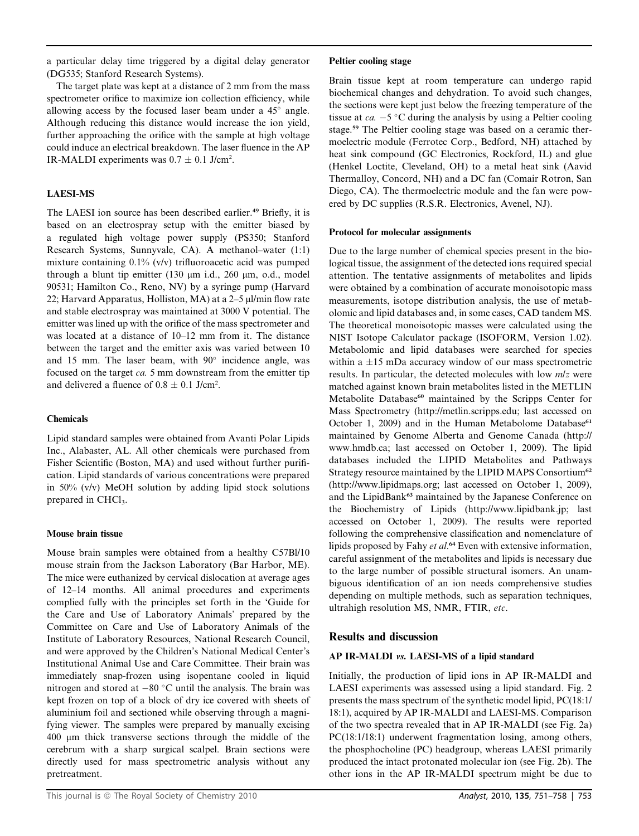a particular delay time triggered by a digital delay generator (DG535; Stanford Research Systems).

The target plate was kept at a distance of 2 mm from the mass spectrometer orifice to maximize ion collection efficiency, while allowing access by the focused laser beam under a  $45^{\circ}$  angle. Although reducing this distance would increase the ion yield, further approaching the orifice with the sample at high voltage could induce an electrical breakdown. The laser fluence in the AP IR-MALDI experiments was  $0.7 \pm 0.1$  J/cm<sup>2</sup>.

#### LAESI-MS

The LAESI ion source has been described earlier.<sup>49</sup> Briefly, it is based on an electrospray setup with the emitter biased by a regulated high voltage power supply (PS350; Stanford Research Systems, Sunnyvale, CA). A methanol–water (1:1) mixture containing 0.1% (v/v) trifluoroacetic acid was pumped through a blunt tip emitter  $(130 \mu m)$  i.d., 260  $\mu$ m, o.d., model 90531; Hamilton Co., Reno, NV) by a syringe pump (Harvard 22; Harvard Apparatus, Holliston, MA) at a  $2-5$  µl/min flow rate and stable electrospray was maintained at 3000 V potential. The emitter was lined up with the orifice of the mass spectrometer and was located at a distance of 10–12 mm from it. The distance between the target and the emitter axis was varied between 10 and 15 mm. The laser beam, with  $90^\circ$  incidence angle, was focused on the target ca. 5 mm downstream from the emitter tip and delivered a fluence of  $0.8 \pm 0.1$  J/cm<sup>2</sup>.

#### Chemicals

Lipid standard samples were obtained from Avanti Polar Lipids Inc., Alabaster, AL. All other chemicals were purchased from Fisher Scientific (Boston, MA) and used without further purification. Lipid standards of various concentrations were prepared in 50% (v/v) MeOH solution by adding lipid stock solutions prepared in CHCl<sub>3</sub>.

#### Mouse brain tissue

Mouse brain samples were obtained from a healthy C57Bl/10 mouse strain from the Jackson Laboratory (Bar Harbor, ME). The mice were euthanized by cervical dislocation at average ages of 12–14 months. All animal procedures and experiments complied fully with the principles set forth in the 'Guide for the Care and Use of Laboratory Animals' prepared by the Committee on Care and Use of Laboratory Animals of the Institute of Laboratory Resources, National Research Council, and were approved by the Children's National Medical Center's Institutional Animal Use and Care Committee. Their brain was immediately snap-frozen using isopentane cooled in liquid nitrogen and stored at  $-80$  °C until the analysis. The brain was kept frozen on top of a block of dry ice covered with sheets of aluminium foil and sectioned while observing through a magnifying viewer. The samples were prepared by manually excising 400 mm thick transverse sections through the middle of the cerebrum with a sharp surgical scalpel. Brain sections were directly used for mass spectrometric analysis without any pretreatment.

#### Peltier cooling stage

Brain tissue kept at room temperature can undergo rapid biochemical changes and dehydration. To avoid such changes, the sections were kept just below the freezing temperature of the tissue at  $ca. -5$  °C during the analysis by using a Peltier cooling stage.<sup>59</sup> The Peltier cooling stage was based on a ceramic thermoelectric module (Ferrotec Corp., Bedford, NH) attached by heat sink compound (GC Electronics, Rockford, IL) and glue (Henkel Loctite, Cleveland, OH) to a metal heat sink (Aavid Thermalloy, Concord, NH) and a DC fan (Comair Rotron, San Diego, CA). The thermoelectric module and the fan were powered by DC supplies (R.S.R. Electronics, Avenel, NJ).

#### Protocol for molecular assignments

Due to the large number of chemical species present in the biological tissue, the assignment of the detected ions required special attention. The tentative assignments of metabolites and lipids were obtained by a combination of accurate monoisotopic mass measurements, isotope distribution analysis, the use of metabolomic and lipid databases and, in some cases, CAD tandem MS. The theoretical monoisotopic masses were calculated using the NIST Isotope Calculator package (ISOFORM, Version 1.02). Metabolomic and lipid databases were searched for species within a  $\pm 15$  mDa accuracy window of our mass spectrometric results. In particular, the detected molecules with low m/z were matched against known brain metabolites listed in the METLIN Metabolite Database<sup>60</sup> maintained by the Scripps Center for Mass Spectrometry (http://metlin.scripps.edu; last accessed on October 1, 2009) and in the Human Metabolome Database $61$ maintained by Genome Alberta and Genome Canada (http:// www.hmdb.ca; last accessed on October 1, 2009). The lipid databases included the LIPID Metabolites and Pathways Strategy resource maintained by the LIPID MAPS Consortium<sup>62</sup> (http://www.lipidmaps.org; last accessed on October 1, 2009), and the LipidBank<sup>63</sup> maintained by the Japanese Conference on the Biochemistry of Lipids (http://www.lipidbank.jp; last accessed on October 1, 2009). The results were reported following the comprehensive classification and nomenclature of lipids proposed by Fahy et al.<sup>64</sup> Even with extensive information, careful assignment of the metabolites and lipids is necessary due to the large number of possible structural isomers. An unambiguous identification of an ion needs comprehensive studies depending on multiple methods, such as separation techniques, ultrahigh resolution MS, NMR, FTIR, etc.

#### Results and discussion

#### AP IR-MALDI vs. LAESI-MS of a lipid standard

Initially, the production of lipid ions in AP IR-MALDI and LAESI experiments was assessed using a lipid standard. Fig. 2 presents the mass spectrum of the synthetic model lipid, PC(18:1/ 18:1), acquired by AP IR-MALDI and LAESI-MS. Comparison of the two spectra revealed that in AP IR-MALDI (see Fig. 2a) PC(18:1/18:1) underwent fragmentation losing, among others, the phosphocholine (PC) headgroup, whereas LAESI primarily produced the intact protonated molecular ion (see Fig. 2b). The other ions in the AP IR-MALDI spectrum might be due to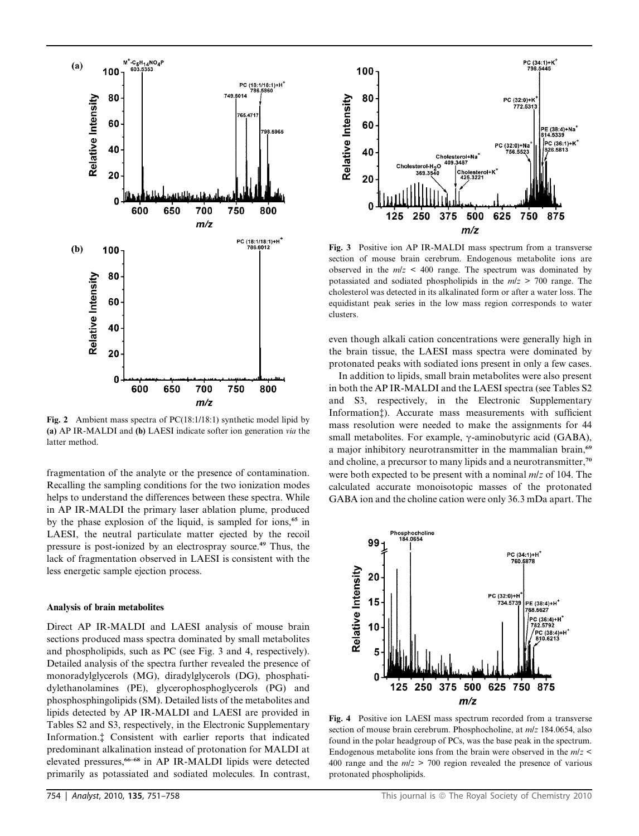

Fig. 2 Ambient mass spectra of PC(18:1/18:1) synthetic model lipid by (a) AP IR-MALDI and (b) LAESI indicate softer ion generation via the latter method.

fragmentation of the analyte or the presence of contamination. Recalling the sampling conditions for the two ionization modes helps to understand the differences between these spectra. While in AP IR-MALDI the primary laser ablation plume, produced by the phase explosion of the liquid, is sampled for ions,<sup>65</sup> in LAESI, the neutral particulate matter ejected by the recoil pressure is post-ionized by an electrospray source.<sup>49</sup> Thus, the lack of fragmentation observed in LAESI is consistent with the less energetic sample ejection process.

#### Analysis of brain metabolites

Direct AP IR-MALDI and LAESI analysis of mouse brain sections produced mass spectra dominated by small metabolites and phospholipids, such as PC (see Fig. 3 and 4, respectively). Detailed analysis of the spectra further revealed the presence of monoradylglycerols (MG), diradylglycerols (DG), phosphatidylethanolamines (PE), glycerophosphoglycerols (PG) and phosphosphingolipids (SM). Detailed lists of the metabolites and lipids detected by AP IR-MALDI and LAESI are provided in Tables S2 and S3, respectively, in the Electronic Supplementary Information.‡ Consistent with earlier reports that indicated predominant alkalination instead of protonation for MALDI at elevated pressures,66–68 in AP IR-MALDI lipids were detected primarily as potassiated and sodiated molecules. In contrast,



Fig. 3 Positive ion AP IR-MALDI mass spectrum from a transverse section of mouse brain cerebrum. Endogenous metabolite ions are observed in the  $m/z < 400$  range. The spectrum was dominated by potassiated and sodiated phospholipids in the  $m/z > 700$  range. The cholesterol was detected in its alkalinated form or after a water loss. The equidistant peak series in the low mass region corresponds to water clusters.

even though alkali cation concentrations were generally high in the brain tissue, the LAESI mass spectra were dominated by protonated peaks with sodiated ions present in only a few cases.

In addition to lipids, small brain metabolites were also present in both the AP IR-MALDI and the LAESI spectra (see Tables S2 and S3, respectively, in the Electronic Supplementary Information‡). Accurate mass measurements with sufficient mass resolution were needed to make the assignments for 44 small metabolites. For example,  $\gamma$ -aminobutyric acid (GABA), a major inhibitory neurotransmitter in the mammalian brain,<sup>69</sup> and choline, a precursor to many lipids and a neurotransmitter,<sup>70</sup> were both expected to be present with a nominal  $m/z$  of 104. The calculated accurate monoisotopic masses of the protonated GABA ion and the choline cation were only 36.3 mDa apart. The



Fig. 4 Positive ion LAESI mass spectrum recorded from a transverse section of mouse brain cerebrum. Phosphocholine, at  $m/z$  184.0654, also found in the polar headgroup of PCs, was the base peak in the spectrum. Endogenous metabolite ions from the brain were observed in the  $m/z$ 400 range and the  $m/z$  > 700 region revealed the presence of various protonated phospholipids.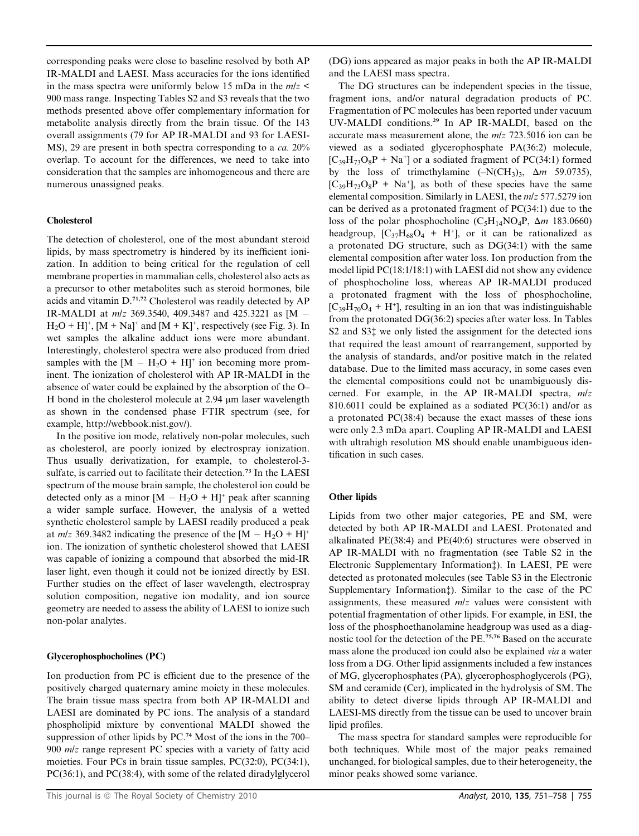corresponding peaks were close to baseline resolved by both AP IR-MALDI and LAESI. Mass accuracies for the ions identified in the mass spectra were uniformly below 15 mDa in the  $m/z$ 900 mass range. Inspecting Tables S2 and S3 reveals that the two methods presented above offer complementary information for metabolite analysis directly from the brain tissue. Of the 143 overall assignments (79 for AP IR-MALDI and 93 for LAESI-MS), 29 are present in both spectra corresponding to a ca. 20% overlap. To account for the differences, we need to take into consideration that the samples are inhomogeneous and there are numerous unassigned peaks.

#### Cholesterol

The detection of cholesterol, one of the most abundant steroid lipids, by mass spectrometry is hindered by its inefficient ionization. In addition to being critical for the regulation of cell membrane properties in mammalian cells, cholesterol also acts as a precursor to other metabolites such as steroid hormones, bile acids and vitamin D.71,72 Cholesterol was readily detected by AP IR-MALDI at m/z 369.3540, 409.3487 and 425.3221 as [M  $H_2O + H$ <sup>+</sup>, [M + Na]<sup>+</sup> and [M + K]<sup>+</sup>, respectively (see Fig. 3). In wet samples the alkaline adduct ions were more abundant. Interestingly, cholesterol spectra were also produced from dried samples with the  $[M - H<sub>2</sub>O + H]$ <sup>+</sup> ion becoming more prominent. The ionization of cholesterol with AP IR-MALDI in the absence of water could be explained by the absorption of the O– H bond in the cholesterol molecule at  $2.94 \mu m$  laser wavelength as shown in the condensed phase FTIR spectrum (see, for example, http://webbook.nist.gov/).

In the positive ion mode, relatively non-polar molecules, such as cholesterol, are poorly ionized by electrospray ionization. Thus usually derivatization, for example, to cholesterol-3 sulfate, is carried out to facilitate their detection.<sup>73</sup> In the LAESI spectrum of the mouse brain sample, the cholesterol ion could be detected only as a minor  $[M - H_2O + H]^+$  peak after scanning a wider sample surface. However, the analysis of a wetted synthetic cholesterol sample by LAESI readily produced a peak at  $m/z$  369.3482 indicating the presence of the  $[M - H<sub>2</sub>O + H]$ <sup>+</sup> ion. The ionization of synthetic cholesterol showed that LAESI was capable of ionizing a compound that absorbed the mid-IR laser light, even though it could not be ionized directly by ESI. Further studies on the effect of laser wavelength, electrospray solution composition, negative ion modality, and ion source geometry are needed to assess the ability of LAESI to ionize such non-polar analytes.

#### Glycerophosphocholines (PC)

Ion production from PC is efficient due to the presence of the positively charged quaternary amine moiety in these molecules. The brain tissue mass spectra from both AP IR-MALDI and LAESI are dominated by PC ions. The analysis of a standard phospholipid mixture by conventional MALDI showed the suppression of other lipids by PC.<sup>74</sup> Most of the ions in the 700– 900 m/z range represent PC species with a variety of fatty acid moieties. Four PCs in brain tissue samples, PC(32:0), PC(34:1), PC(36:1), and PC(38:4), with some of the related diradylglycerol

(DG) ions appeared as major peaks in both the AP IR-MALDI and the LAESI mass spectra.

The DG structures can be independent species in the tissue, fragment ions, and/or natural degradation products of PC. Fragmentation of PC molecules has been reported under vacuum UV-MALDI conditions.<sup>29</sup> In AP IR-MALDI, based on the accurate mass measurement alone, the m/z 723.5016 ion can be viewed as a sodiated glycerophosphate PA(36:2) molecule,  $[C_{39}H_{73}O_8P + Na^+]$  or a sodiated fragment of PC(34:1) formed by the loss of trimethylamine  $(-N(CH_3)_3, \Delta m$  59.0735),  $[C_{39}H_{73}O_8P + Na^+]$ , as both of these species have the same elemental composition. Similarly in LAESI, the m/z 577.5279 ion can be derived as a protonated fragment of PC(34:1) due to the loss of the polar phosphocholine  $(C_5H_{14}NO_4P, \Delta m 183.0660)$ headgroup,  $[C_{37}H_{68}O_4 + H^+]$ , or it can be rationalized as a protonated DG structure, such as DG(34:1) with the same elemental composition after water loss. Ion production from the model lipid PC(18:1/18:1) with LAESI did not show any evidence of phosphocholine loss, whereas AP IR-MALDI produced a protonated fragment with the loss of phosphocholine,  $[C_{39}H_{70}O_4 + H^+]$ , resulting in an ion that was indistinguishable from the protonated DG(36:2) species after water loss. In Tables S2 and S31 we only listed the assignment for the detected ions that required the least amount of rearrangement, supported by the analysis of standards, and/or positive match in the related database. Due to the limited mass accuracy, in some cases even the elemental compositions could not be unambiguously discerned. For example, in the AP IR-MALDI spectra,  $m/z$ 810.6011 could be explained as a sodiated PC(36:1) and/or as a protonated PC(38:4) because the exact masses of these ions were only 2.3 mDa apart. Coupling AP IR-MALDI and LAESI with ultrahigh resolution MS should enable unambiguous identification in such cases.

#### Other lipids

Lipids from two other major categories, PE and SM, were detected by both AP IR-MALDI and LAESI. Protonated and alkalinated PE(38:4) and PE(40:6) structures were observed in AP IR-MALDI with no fragmentation (see Table S2 in the Electronic Supplementary Information‡). In LAESI, PE were detected as protonated molecules (see Table S3 in the Electronic Supplementary Information‡). Similar to the case of the PC assignments, these measured m/z values were consistent with potential fragmentation of other lipids. For example, in ESI, the loss of the phosphoethanolamine headgroup was used as a diagnostic tool for the detection of the PE.75,76 Based on the accurate mass alone the produced ion could also be explained via a water loss from a DG. Other lipid assignments included a few instances of MG, glycerophosphates (PA), glycerophosphoglycerols (PG), SM and ceramide (Cer), implicated in the hydrolysis of SM. The ability to detect diverse lipids through AP IR-MALDI and LAESI-MS directly from the tissue can be used to uncover brain lipid profiles.

The mass spectra for standard samples were reproducible for both techniques. While most of the major peaks remained unchanged, for biological samples, due to their heterogeneity, the minor peaks showed some variance.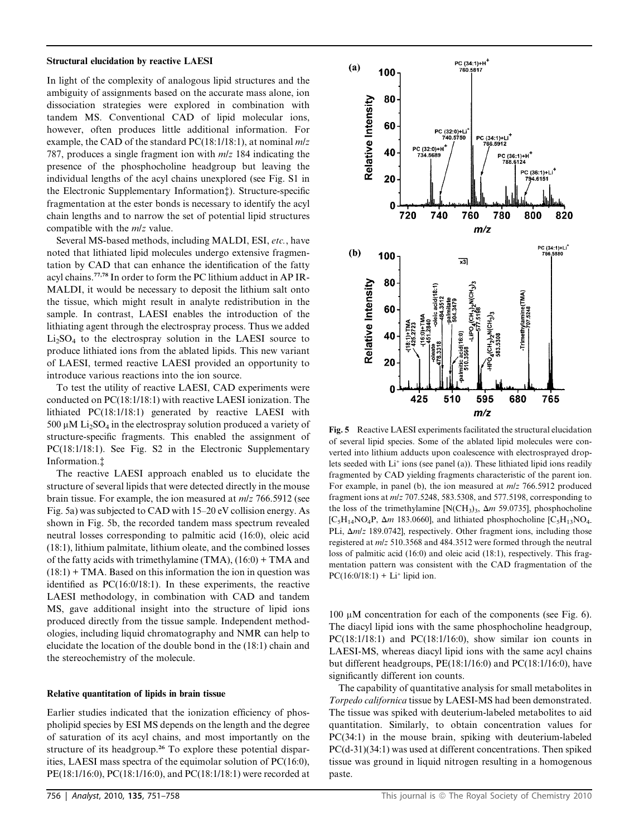#### Structural elucidation by reactive LAESI

In light of the complexity of analogous lipid structures and the ambiguity of assignments based on the accurate mass alone, ion dissociation strategies were explored in combination with tandem MS. Conventional CAD of lipid molecular ions, however, often produces little additional information. For example, the CAD of the standard PC(18:1/18:1), at nominal  $m/z$ 787, produces a single fragment ion with  $m/z$  184 indicating the presence of the phosphocholine headgroup but leaving the individual lengths of the acyl chains unexplored (see Fig. S1 in the Electronic Supplementary Information‡). Structure-specific fragmentation at the ester bonds is necessary to identify the acyl chain lengths and to narrow the set of potential lipid structures compatible with the m/z value.

Several MS-based methods, including MALDI, ESI, etc., have noted that lithiated lipid molecules undergo extensive fragmentation by CAD that can enhance the identification of the fatty acyl chains.77,78 In order to form the PC lithium adduct in AP IR-MALDI, it would be necessary to deposit the lithium salt onto the tissue, which might result in analyte redistribution in the sample. In contrast, LAESI enables the introduction of the lithiating agent through the electrospray process. Thus we added  $Li<sub>2</sub>SO<sub>4</sub>$  to the electrospray solution in the LAESI source to produce lithiated ions from the ablated lipids. This new variant of LAESI, termed reactive LAESI provided an opportunity to introduce various reactions into the ion source.

To test the utility of reactive LAESI, CAD experiments were conducted on PC(18:1/18:1) with reactive LAESI ionization. The lithiated PC(18:1/18:1) generated by reactive LAESI with  $500 \mu M$  Li<sub>2</sub>SO<sub>4</sub> in the electrospray solution produced a variety of structure-specific fragments. This enabled the assignment of PC(18:1/18:1). See Fig. S2 in the Electronic Supplementary Information.‡

The reactive LAESI approach enabled us to elucidate the structure of several lipids that were detected directly in the mouse brain tissue. For example, the ion measured at m/z 766.5912 (see Fig. 5a) was subjected to CAD with 15–20 eV collision energy. As shown in Fig. 5b, the recorded tandem mass spectrum revealed neutral losses corresponding to palmitic acid (16:0), oleic acid (18:1), lithium palmitate, lithium oleate, and the combined losses of the fatty acids with trimethylamine (TMA),  $(16:0) + TMA$  and  $(18:1) + TMA$ . Based on this information the ion in question was identified as PC(16:0/18:1). In these experiments, the reactive LAESI methodology, in combination with CAD and tandem MS, gave additional insight into the structure of lipid ions produced directly from the tissue sample. Independent methodologies, including liquid chromatography and NMR can help to elucidate the location of the double bond in the (18:1) chain and the stereochemistry of the molecule.

#### Relative quantitation of lipids in brain tissue

Earlier studies indicated that the ionization efficiency of phospholipid species by ESI MS depends on the length and the degree of saturation of its acyl chains, and most importantly on the structure of its headgroup.<sup>26</sup> To explore these potential disparities, LAESI mass spectra of the equimolar solution of PC(16:0), PE(18:1/16:0), PC(18:1/16:0), and PC(18:1/18:1) were recorded at



Fig. 5 Reactive LAESI experiments facilitated the structural elucidation of several lipid species. Some of the ablated lipid molecules were converted into lithium adducts upon coalescence with electrosprayed droplets seeded with  $Li^+$  ions (see panel (a)). These lithiated lipid ions readily fragmented by CAD yielding fragments characteristic of the parent ion. For example, in panel (b), the ion measured at m/z 766.5912 produced fragment ions at m/z 707.5248, 583.5308, and 577.5198, corresponding to the loss of the trimethylamine  $[N(CH_3)_3, \Delta m 59.0735]$ , phosphocholine  $[C_5H_{14}NO_4P, \Delta m$  183.0660], and lithiated phosphocholine  $[C_5H_{13}NO_4]$ PLi,  $\Delta m/z$  189.0742], respectively. Other fragment ions, including those registered at m/z 510.3568 and 484.3512 were formed through the neutral loss of palmitic acid (16:0) and oleic acid (18:1), respectively. This fragmentation pattern was consistent with the CAD fragmentation of the  $PC(16:0/18:1) + Li^{+}$  lipid ion.

100  $\mu$ M concentration for each of the components (see Fig. 6). The diacyl lipid ions with the same phosphocholine headgroup, PC(18:1/18:1) and PC(18:1/16:0), show similar ion counts in LAESI-MS, whereas diacyl lipid ions with the same acyl chains but different headgroups, PE(18:1/16:0) and PC(18:1/16:0), have significantly different ion counts.

The capability of quantitative analysis for small metabolites in Torpedo californica tissue by LAESI-MS had been demonstrated. The tissue was spiked with deuterium-labeled metabolites to aid quantitation. Similarly, to obtain concentration values for PC(34:1) in the mouse brain, spiking with deuterium-labeled PC(d-31)(34:1) was used at different concentrations. Then spiked tissue was ground in liquid nitrogen resulting in a homogenous paste.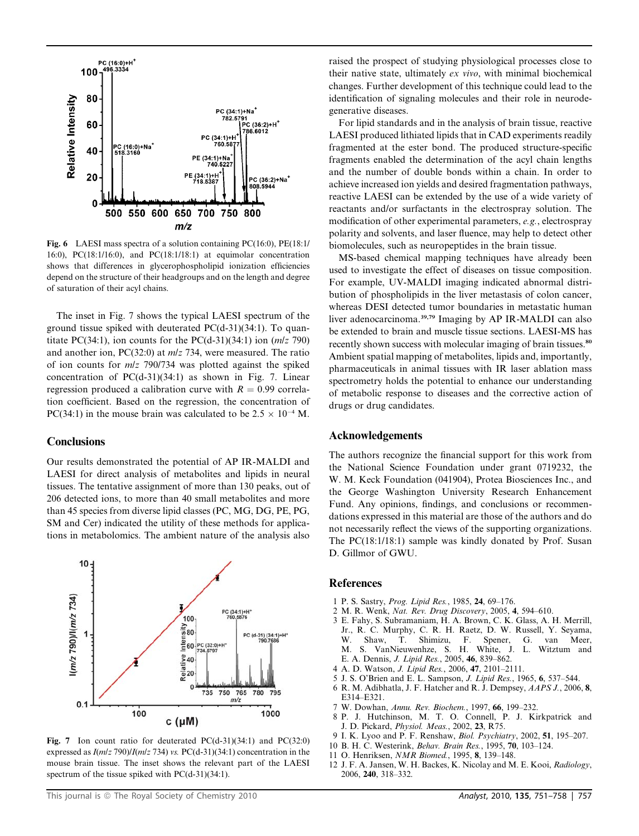

Fig. 6 LAESI mass spectra of a solution containing PC(16:0), PE(18:1/ 16:0), PC(18:1/16:0), and PC(18:1/18:1) at equimolar concentration shows that differences in glycerophospholipid ionization efficiencies depend on the structure of their headgroups and on the length and degree of saturation of their acyl chains.

The inset in Fig. 7 shows the typical LAESI spectrum of the ground tissue spiked with deuterated PC(d-31)(34:1). To quantitate PC(34:1), ion counts for the PC(d-31)(34:1) ion  $(m/z 790)$ and another ion, PC(32:0) at m/z 734, were measured. The ratio of ion counts for m/z 790/734 was plotted against the spiked concentration of PC(d-31)(34:1) as shown in Fig. 7. Linear regression produced a calibration curve with  $R = 0.99$  correlation coefficient. Based on the regression, the concentration of PC(34:1) in the mouse brain was calculated to be  $2.5 \times 10^{-4}$  M.

#### **Conclusions**

Our results demonstrated the potential of AP IR-MALDI and LAESI for direct analysis of metabolites and lipids in neural tissues. The tentative assignment of more than 130 peaks, out of 206 detected ions, to more than 40 small metabolites and more than 45 species from diverse lipid classes (PC, MG, DG, PE, PG, SM and Cer) indicated the utility of these methods for applications in metabolomics. The ambient nature of the analysis also



Fig. 7 Ion count ratio for deuterated PC(d-31)(34:1) and PC(32:0) expressed as  $I(m/z 790)/I(m/z 734)$  vs. PC(d-31)(34:1) concentration in the mouse brain tissue. The inset shows the relevant part of the LAESI spectrum of the tissue spiked with PC(d-31)(34:1).

For lipid standards and in the analysis of brain tissue, reactive LAESI produced lithiated lipids that in CAD experiments readily fragmented at the ester bond. The produced structure-specific fragments enabled the determination of the acyl chain lengths and the number of double bonds within a chain. In order to achieve increased ion yields and desired fragmentation pathways, reactive LAESI can be extended by the use of a wide variety of reactants and/or surfactants in the electrospray solution. The modification of other experimental parameters, e.g., electrospray polarity and solvents, and laser fluence, may help to detect other biomolecules, such as neuropeptides in the brain tissue.

MS-based chemical mapping techniques have already been used to investigate the effect of diseases on tissue composition. For example, UV-MALDI imaging indicated abnormal distribution of phospholipids in the liver metastasis of colon cancer, whereas DESI detected tumor boundaries in metastatic human liver adenocarcinoma.39,79 Imaging by AP IR-MALDI can also be extended to brain and muscle tissue sections. LAESI-MS has recently shown success with molecular imaging of brain tissues.<sup>80</sup> Ambient spatial mapping of metabolites, lipids and, importantly, pharmaceuticals in animal tissues with IR laser ablation mass spectrometry holds the potential to enhance our understanding of metabolic response to diseases and the corrective action of drugs or drug candidates.

#### Acknowledgements

The authors recognize the financial support for this work from the National Science Foundation under grant 0719232, the W. M. Keck Foundation (041904), Protea Biosciences Inc., and the George Washington University Research Enhancement Fund. Any opinions, findings, and conclusions or recommendations expressed in this material are those of the authors and do not necessarily reflect the views of the supporting organizations. The PC(18:1/18:1) sample was kindly donated by Prof. Susan D. Gillmor of GWU.

#### **References**

- 1 P. S. Sastry, Prog. Lipid Res., 1985, 24, 69–176.
- 2 M. R. Wenk, Nat. Rev. Drug Discovery, 2005, 4, 594–610.
- 3 E. Fahy, S. Subramaniam, H. A. Brown, C. K. Glass, A. H. Merrill, Jr., R. C. Murphy, C. R. H. Raetz, D. W. Russell, Y. Seyama, W. Shaw, T. Shimizu, F. Spener, G. van Meer, M. S. VanNieuwenhze, S. H. White, J. L. Witztum and M. S. VanNieuwenhze, S. H. White, J. L. E. A. Dennis, J. Lipid Res., 2005, 46, 839–862.
- 4 A. D. Watson, J. Lipid Res., 2006, 47, 2101–2111.
- 5 J. S. O'Brien and E. L. Sampson, J. Lipid Res., 1965, 6, 537–544.
- 6 R. M. Adibhatla, J. F. Hatcher and R. J. Dempsey, AAPS J., 2006, 8, E314–E321.
- 7 W. Dowhan, Annu. Rev. Biochem., 1997, 66, 199–232.
- 8 P. J. Hutchinson, M. T. O. Connell, P. J. Kirkpatrick and J. D. Pickard, Physiol. Meas., 2002, 23, R75.
- 9 I. K. Lyoo and P. F. Renshaw, Biol. Psychiatry, 2002, 51, 195–207.
- 10 B. H. C. Westerink, Behav. Brain Res., 1995, 70, 103–124.
- 11 O. Henriksen, NMR Biomed., 1995, 8, 139–148.
- 12 J. F. A. Jansen, W. H. Backes, K. Nicolay and M. E. Kooi, Radiology, 2006, 240, 318–332.